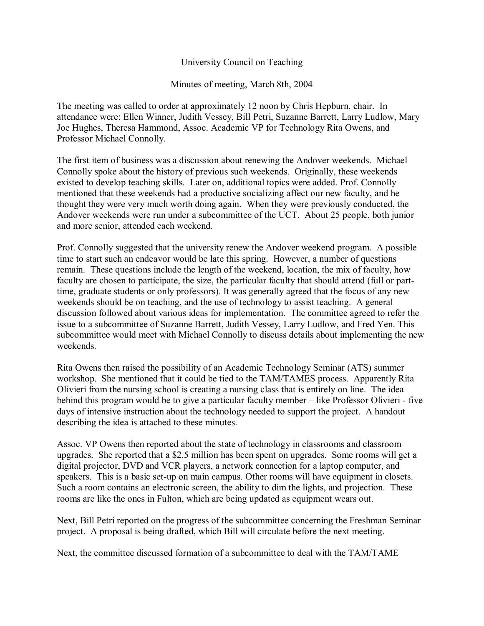## University Council on Teaching

Minutes of meeting, March 8th, 2004

The meeting was called to order at approximately 12 noon by Chris Hepburn, chair. In attendance were: Ellen Winner, Judith Vessey, Bill Petri, Suzanne Barrett, Larry Ludlow, Mary Joe Hughes, Theresa Hammond, Assoc. Academic VP for Technology Rita Owens, and Professor Michael Connolly.

The first item of business was a discussion about renewing the Andover weekends. Michael Connolly spoke about the history of previous such weekends. Originally, these weekends existed to develop teaching skills. Later on, additional topics were added. Prof. Connolly mentioned that these weekends had a productive socializing affect our new faculty, and he thought they were very much worth doing again. When they were previously conducted, the Andover weekends were run under a subcommittee of the UCT. About 25 people, both junior and more senior, attended each weekend.

Prof. Connolly suggested that the university renew the Andover weekend program. A possible time to start such an endeavor would be late this spring. However, a number of questions remain. These questions include the length of the weekend, location, the mix of faculty, how faculty are chosen to participate, the size, the particular faculty that should attend (full or parttime, graduate students or only professors). It was generally agreed that the focus of any new weekends should be on teaching, and the use of technology to assist teaching. A general discussion followed about various ideas for implementation. The committee agreed to refer the issue to a subcommittee of Suzanne Barrett, Judith Vessey, Larry Ludlow, and Fred Yen. This subcommittee would meet with Michael Connolly to discuss details about implementing the new weekends.

Rita Owens then raised the possibility of an Academic Technology Seminar (ATS) summer workshop. She mentioned that it could be tied to the TAM/TAMES process. Apparently Rita Olivieri from the nursing school is creating a nursing class that is entirely on line. The idea behind this program would be to give a particular faculty member – like Professor Olivieri - five days of intensive instruction about the technology needed to support the project. A handout describing the idea is attached to these minutes.

Assoc. VP Owens then reported about the state of technology in classrooms and classroom upgrades. She reported that a \$2.5 million has been spent on upgrades. Some rooms will get a digital projector, DVD and VCR players, a network connection for a laptop computer, and speakers. This is a basic set-up on main campus. Other rooms will have equipment in closets. Such a room contains an electronic screen, the ability to dim the lights, and projection. These rooms are like the ones in Fulton, which are being updated as equipment wears out.

Next, Bill Petri reported on the progress of the subcommittee concerning the Freshman Seminar project. A proposal is being drafted, which Bill will circulate before the next meeting.

Next, the committee discussed formation of a subcommittee to deal with the TAM/TAME